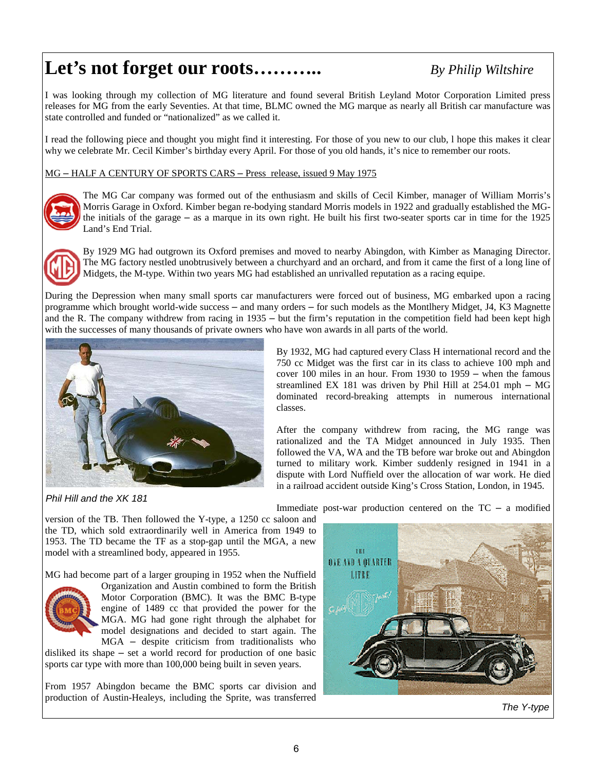## **Let's not forget our roots………..** *By Philip Wiltshire*

I was looking through my collection of MG literature and found several British Leyland Motor Corporation Limited press releases for MG from the early Seventies. At that time, BLMC owned the MG marque as nearly all British car manufacture was state controlled and funded or "nationalized" as we called it.

I read the following piece and thought you might find it interesting. For those of you new to our club, l hope this makes it clear why we celebrate Mr. Cecil Kimber's birthday every April. For those of you old hands, it's nice to remember our roots.

MG – HALF A CENTURY OF SPORTS CARS – Press release, issued 9 May 1975



The MG Car company was formed out of the enthusiasm and skills of Cecil Kimber, manager of William Morris's Morris Garage in Oxford. Kimber began re-bodying standard Morris models in 1922 and gradually established the MGthe initials of the garage – as a marque in its own right. He built his first two-seater sports car in time for the 1925 Land's End Trial.



By 1929 MG had outgrown its Oxford premises and moved to nearby Abingdon, with Kimber as Managing Director. The MG factory nestled unobtrusively between a churchyard and an orchard, and from it came the first of a long line of Midgets, the M-type. Within two years MG had established an unrivalled reputation as a racing equipe.

During the Depression when many small sports car manufacturers were forced out of business, MG embarked upon a racing programme which brought world-wide success – and many orders – for such models as the Montlhery Midget, J4, K3 Magnette and the R. The company withdrew from racing in 1935 – but the firm's reputation in the competition field had been kept high with the successes of many thousands of private owners who have won awards in all parts of the world.



*Phil Hill and the XK 181* 

By 1932, MG had captured every Class H international record and the 750 cc Midget was the first car in its class to achieve 100 mph and cover 100 miles in an hour. From 1930 to 1959 – when the famous streamlined EX 181 was driven by Phil Hill at 254.01 mph – MG dominated record-breaking attempts in numerous international classes.

After the company withdrew from racing, the MG range was rationalized and the TA Midget announced in July 1935. Then followed the VA, WA and the TB before war broke out and Abingdon turned to military work. Kimber suddenly resigned in 1941 in a dispute with Lord Nuffield over the allocation of war work. He died in a railroad accident outside King's Cross Station, London, in 1945.

version of the TB. Then followed the Y-type, a 1250 cc saloon and the TD, which sold extraordinarily well in America from 1949 to 1953. The TD became the TF as a stop-gap until the MGA, a new model with a streamlined body, appeared in 1955.

MG had become part of a larger grouping in 1952 when the Nuffield



Organization and Austin combined to form the British Motor Corporation (BMC). It was the BMC B-type engine of 1489 cc that provided the power for the MGA. MG had gone right through the alphabet for model designations and decided to start again. The MGA – despite criticism from traditionalists who

disliked its shape – set a world record for production of one basic sports car type with more than 100,000 being built in seven years.

From 1957 Abingdon became the BMC sports car division and production of Austin-Healeys, including the Sprite, was transferred

Immediate post-war production centered on the TC – a modified



*The Y-type*